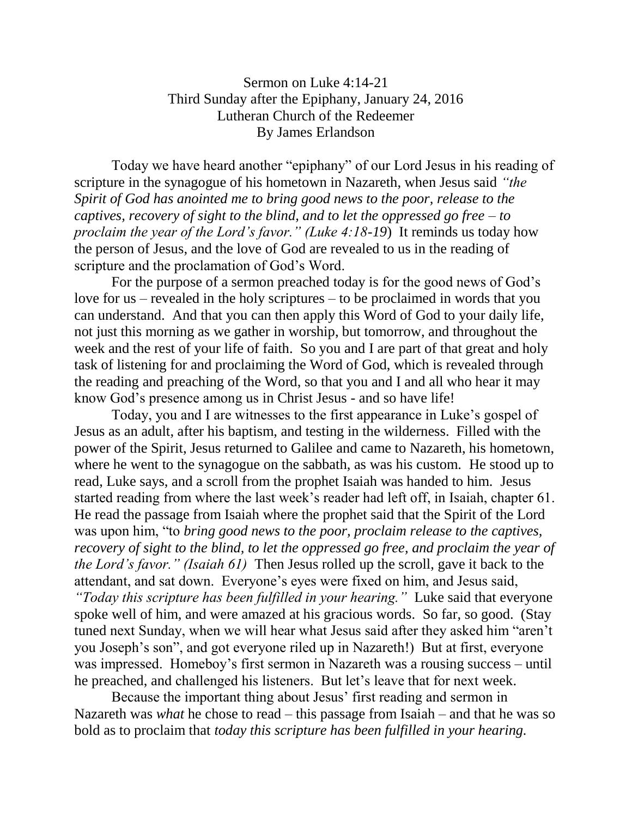Sermon on Luke 4:14-21 Third Sunday after the Epiphany, January 24, 2016 Lutheran Church of the Redeemer By James Erlandson

Today we have heard another "epiphany" of our Lord Jesus in his reading of scripture in the synagogue of his hometown in Nazareth, when Jesus said *"the Spirit of God has anointed me to bring good news to the poor, release to the captives, recovery of sight to the blind, and to let the oppressed go free – to proclaim the year of the Lord's favor." (Luke 4:18-19*) It reminds us today how the person of Jesus, and the love of God are revealed to us in the reading of scripture and the proclamation of God's Word.

For the purpose of a sermon preached today is for the good news of God's love for us – revealed in the holy scriptures – to be proclaimed in words that you can understand. And that you can then apply this Word of God to your daily life, not just this morning as we gather in worship, but tomorrow, and throughout the week and the rest of your life of faith. So you and I are part of that great and holy task of listening for and proclaiming the Word of God, which is revealed through the reading and preaching of the Word, so that you and I and all who hear it may know God's presence among us in Christ Jesus - and so have life!

Today, you and I are witnesses to the first appearance in Luke's gospel of Jesus as an adult, after his baptism, and testing in the wilderness. Filled with the power of the Spirit, Jesus returned to Galilee and came to Nazareth, his hometown, where he went to the synagogue on the sabbath, as was his custom. He stood up to read, Luke says, and a scroll from the prophet Isaiah was handed to him. Jesus started reading from where the last week's reader had left off, in Isaiah, chapter 61. He read the passage from Isaiah where the prophet said that the Spirit of the Lord was upon him, "to *bring good news to the poor, proclaim release to the captives, recovery of sight to the blind, to let the oppressed go free, and proclaim the year of the Lord's favor." (Isaiah 61)* Then Jesus rolled up the scroll, gave it back to the attendant, and sat down. Everyone's eyes were fixed on him, and Jesus said,

*"Today this scripture has been fulfilled in your hearing."* Luke said that everyone spoke well of him, and were amazed at his gracious words. So far, so good. (Stay tuned next Sunday, when we will hear what Jesus said after they asked him "aren't you Joseph's son", and got everyone riled up in Nazareth!) But at first, everyone was impressed. Homeboy's first sermon in Nazareth was a rousing success – until he preached, and challenged his listeners. But let's leave that for next week.

Because the important thing about Jesus' first reading and sermon in Nazareth was *what* he chose to read – this passage from Isaiah – and that he was so bold as to proclaim that *today this scripture has been fulfilled in your hearing.*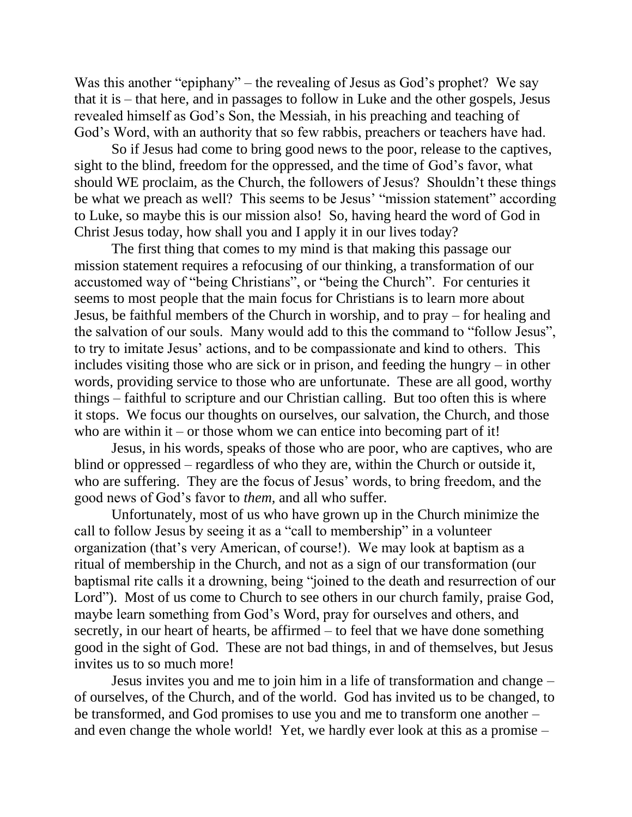Was this another "epiphany" – the revealing of Jesus as God's prophet? We say that it is – that here, and in passages to follow in Luke and the other gospels, Jesus revealed himself as God's Son, the Messiah, in his preaching and teaching of God's Word, with an authority that so few rabbis, preachers or teachers have had.

So if Jesus had come to bring good news to the poor, release to the captives, sight to the blind, freedom for the oppressed, and the time of God's favor, what should WE proclaim, as the Church, the followers of Jesus? Shouldn't these things be what we preach as well? This seems to be Jesus' "mission statement" according to Luke, so maybe this is our mission also! So, having heard the word of God in Christ Jesus today, how shall you and I apply it in our lives today?

The first thing that comes to my mind is that making this passage our mission statement requires a refocusing of our thinking, a transformation of our accustomed way of "being Christians", or "being the Church". For centuries it seems to most people that the main focus for Christians is to learn more about Jesus, be faithful members of the Church in worship, and to pray – for healing and the salvation of our souls. Many would add to this the command to "follow Jesus", to try to imitate Jesus' actions, and to be compassionate and kind to others. This includes visiting those who are sick or in prison, and feeding the hungry – in other words, providing service to those who are unfortunate. These are all good, worthy things – faithful to scripture and our Christian calling. But too often this is where it stops. We focus our thoughts on ourselves, our salvation, the Church, and those who are within it – or those whom we can entice into becoming part of it!

Jesus, in his words, speaks of those who are poor, who are captives, who are blind or oppressed – regardless of who they are, within the Church or outside it, who are suffering. They are the focus of Jesus' words, to bring freedom, and the good news of God's favor to *them,* and all who suffer*.* 

Unfortunately, most of us who have grown up in the Church minimize the call to follow Jesus by seeing it as a "call to membership" in a volunteer organization (that's very American, of course!). We may look at baptism as a ritual of membership in the Church, and not as a sign of our transformation (our baptismal rite calls it a drowning, being "joined to the death and resurrection of our Lord"). Most of us come to Church to see others in our church family, praise God, maybe learn something from God's Word, pray for ourselves and others, and secretly, in our heart of hearts, be affirmed – to feel that we have done something good in the sight of God. These are not bad things, in and of themselves, but Jesus invites us to so much more!

Jesus invites you and me to join him in a life of transformation and change – of ourselves, of the Church, and of the world. God has invited us to be changed, to be transformed, and God promises to use you and me to transform one another – and even change the whole world! Yet, we hardly ever look at this as a promise –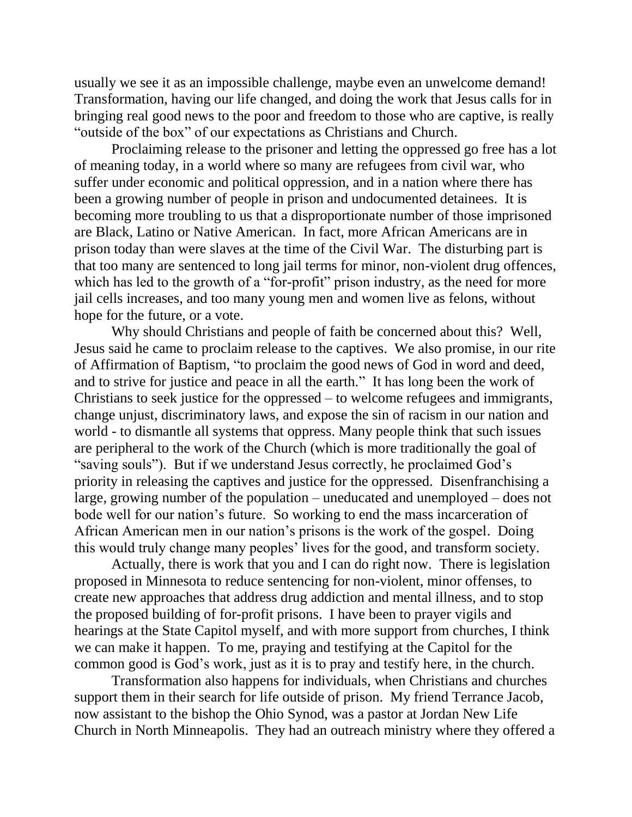usually we see it as an impossible challenge, maybe even an unwelcome demand! Transformation, having our life changed, and doing the work that Jesus calls for in bringing real good news to the poor and freedom to those who are captive, is really "outside of the box" of our expectations as Christians and Church.

Proclaiming release to the prisoner and letting the oppressed go free has a lot of meaning today, in a world where so many are refugees from civil war, who suffer under economic and political oppression, and in a nation where there has been a growing number of people in prison and undocumented detainees. It is becoming more troubling to us that a disproportionate number of those imprisoned are Black, Latino or Native American. In fact, more African Americans are in prison today than were slaves at the time of the Civil War. The disturbing part is that too many are sentenced to long jail terms for minor, non-violent drug offences, which has led to the growth of a "for-profit" prison industry, as the need for more jail cells increases, and too many young men and women live as felons, without hope for the future, or a vote.

Why should Christians and people of faith be concerned about this? Well, Jesus said he came to proclaim release to the captives. We also promise, in our rite of Affirmation of Baptism, "to proclaim the good news of God in word and deed, and to strive for justice and peace in all the earth." It has long been the work of Christians to seek justice for the oppressed – to welcome refugees and immigrants, change unjust, discriminatory laws, and expose the sin of racism in our nation and world - to dismantle all systems that oppress. Many people think that such issues are peripheral to the work of the Church (which is more traditionally the goal of "saving souls"). But if we understand Jesus correctly, he proclaimed God's priority in releasing the captives and justice for the oppressed. Disenfranchising a large, growing number of the population – uneducated and unemployed – does not bode well for our nation's future. So working to end the mass incarceration of African American men in our nation's prisons is the work of the gospel. Doing this would truly change many peoples' lives for the good, and transform society.

Actually, there is work that you and I can do right now. There is legislation proposed in Minnesota to reduce sentencing for non-violent, minor offenses, to create new approaches that address drug addiction and mental illness, and to stop the proposed building of for-profit prisons. I have been to prayer vigils and hearings at the State Capitol myself, and with more support from churches, I think we can make it happen. To me, praying and testifying at the Capitol for the common good is God's work, just as it is to pray and testify here, in the church.

Transformation also happens for individuals, when Christians and churches support them in their search for life outside of prison. My friend Terrance Jacob, now assistant to the bishop the Ohio Synod, was a pastor at Jordan New Life Church in North Minneapolis. They had an outreach ministry where they offered a